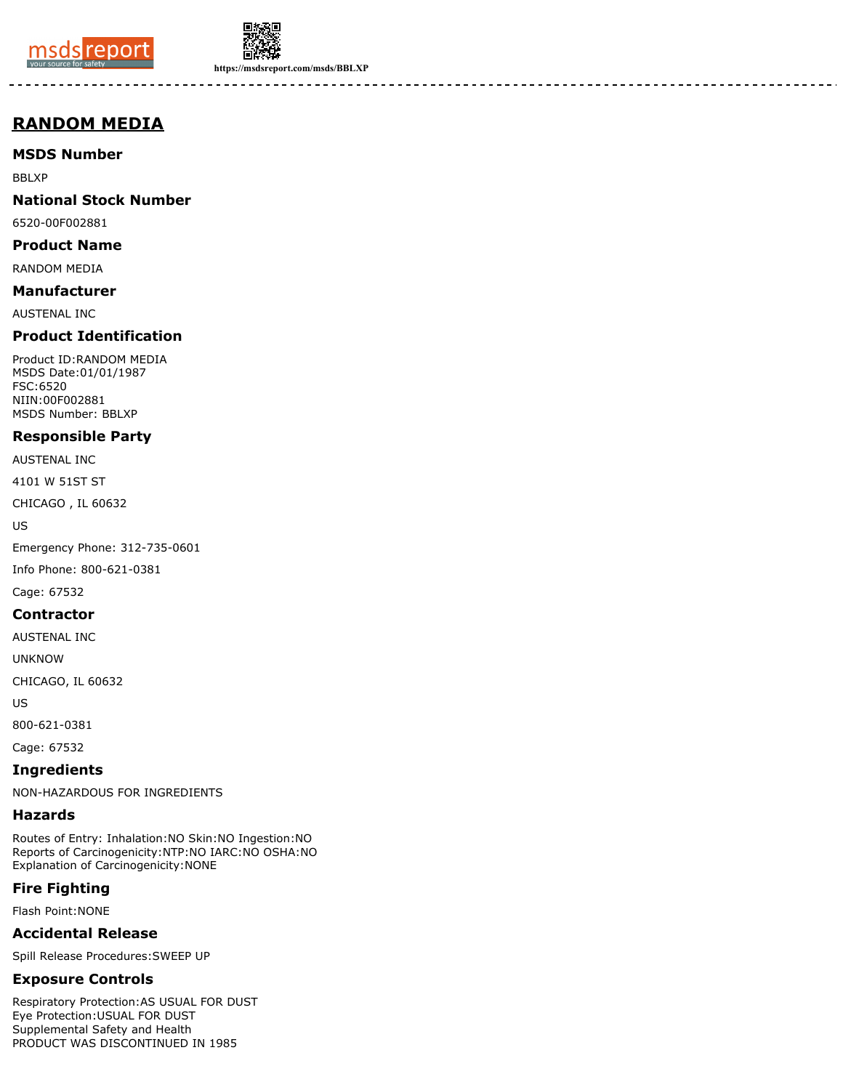



**https://msdsreport.com/msds/BBLXP**

-------

# **RANDOM MEDIA**

**MSDS Number**

BBLXP

## **National Stock Number**

6520-00F002881

#### **Product Name**

RANDOM MEDIA

## **Manufacturer**

AUSTENAL INC

## **Product Identification**

Product ID:RANDOM MEDIA MSDS Date:01/01/1987 FSC:6520 NIIN:00F002881 MSDS Number: BBLXP

## **Responsible Party**

AUSTENAL INC

4101 W 51ST ST

CHICAGO , IL 60632

US

Emergency Phone: 312-735-0601

Info Phone: 800-621-0381

Cage: 67532

#### **Contractor**

AUSTENAL INC

UNKNOW

CHICAGO, IL 60632

US

800-621-0381

Cage: 67532

**Ingredients**

NON-HAZARDOUS FOR INGREDIENTS

#### **Hazards**

Routes of Entry: Inhalation:NO Skin:NO Ingestion:NO Reports of Carcinogenicity:NTP:NO IARC:NO OSHA:NO Explanation of Carcinogenicity:NONE

## **Fire Fighting**

Flash Point:NONE

#### **Accidental Release**

Spill Release Procedures:SWEEP UP

## **Exposure Controls**

Respiratory Protection:AS USUAL FOR DUST Eye Protection:USUAL FOR DUST Supplemental Safety and Health PRODUCT WAS DISCONTINUED IN 1985